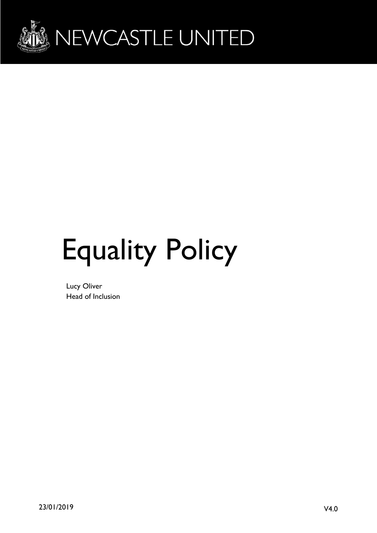

# Equality Policy

Lucy Oliver Head of Inclusion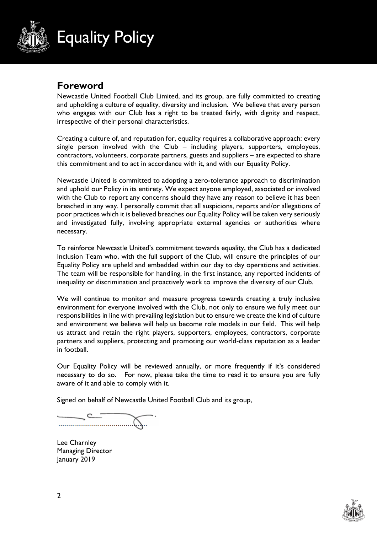

## **Foreword**

Newcastle United Football Club Limited, and its group, are fully committed to creating and upholding a culture of equality, diversity and inclusion. We believe that every person who engages with our Club has a right to be treated fairly, with dignity and respect, irrespective of their personal characteristics.

Creating a culture of, and reputation for, equality requires a collaborative approach: every single person involved with the Club – including players, supporters, employees, contractors, volunteers, corporate partners, guests and suppliers – are expected to share this commitment and to act in accordance with it, and with our Equality Policy.

Newcastle United is committed to adopting a zero-tolerance approach to discrimination and uphold our Policy in its entirety. We expect anyone employed, associated or involved with the Club to report any concerns should they have any reason to believe it has been breached in any way. I personally commit that all suspicions, reports and/or allegations of poor practices which it is believed breaches our Equality Policy will be taken very seriously and investigated fully, involving appropriate external agencies or authorities where necessary.

To reinforce Newcastle United's commitment towards equality, the Club has a dedicated Inclusion Team who, with the full support of the Club, will ensure the principles of our Equality Policy are upheld and embedded within our day to day operations and activities. The team will be responsible for handling, in the first instance, any reported incidents of inequality or discrimination and proactively work to improve the diversity of our Club.

We will continue to monitor and measure progress towards creating a truly inclusive environment for everyone involved with the Club, not only to ensure we fully meet our responsibilities in line with prevailing legislation but to ensure we create the kind of culture and environment we believe will help us become role models in our field. This will help us attract and retain the right players, supporters, employees, contractors, corporate partners and suppliers, protecting and promoting our world-class reputation as a leader in football.

Our Equality Policy will be reviewed annually, or more frequently if it's considered necessary to do so. For now, please take the time to read it to ensure you are fully aware of it and able to comply with it.

Signed on behalf of Newcastle United Football Club and its group,

Lee Charnley Managing Director January 2019

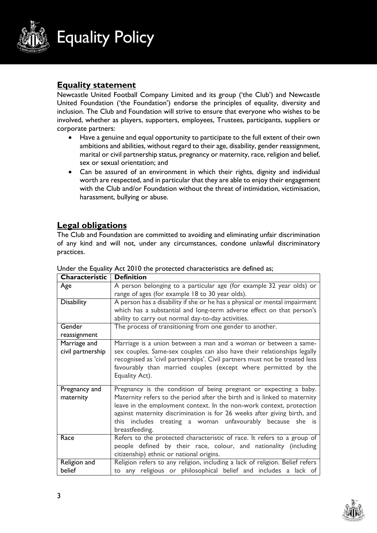

#### **Equality statement**

Newcastle United Football Company Limited and its group ('the Club') and Newcastle United Foundation ('the Foundation') endorse the principles of equality, diversity and inclusion. The Club and Foundation will strive to ensure that everyone who wishes to be involved, whether as players, supporters, employees, Trustees, participants, suppliers or corporate partners:

- Have a genuine and equal opportunity to participate to the full extent of their own ambitions and abilities, without regard to their age, disability, gender reassignment, marital or civil partnership status, pregnancy or maternity, race, religion and belief, sex or sexual orientation; and
- Can be assured of an environment in which their rights, dignity and individual worth are respected, and in particular that they are able to enjoy their engagement with the Club and/or Foundation without the threat of intimidation, victimisation, harassment, bullying or abuse.

### **Legal obligations**

The Club and Foundation are committed to avoiding and eliminating unfair discrimination of any kind and will not, under any circumstances, condone unlawful discriminatory practices.

| Characteristic    | <b>Definition</b>                                                            |
|-------------------|------------------------------------------------------------------------------|
| Age               | A person belonging to a particular age (for example 32 year olds) or         |
|                   | range of ages (for example 18 to 30 year olds).                              |
| <b>Disability</b> | A person has a disability if she or he has a physical or mental impairment   |
|                   | which has a substantial and long-term adverse effect on that person's        |
|                   | ability to carry out normal day-to-day activities.                           |
| Gender            | The process of transitioning from one gender to another.                     |
| reassignment      |                                                                              |
| Marriage and      | Marriage is a union between a man and a woman or between a same-             |
| civil partnership | sex couples. Same-sex couples can also have their relationships legally      |
|                   | recognised as 'civil partnerships'. Civil partners must not be treated less  |
|                   | favourably than married couples (except where permitted by the               |
|                   | Equality Act).                                                               |
|                   |                                                                              |
| Pregnancy and     | Pregnancy is the condition of being pregnant or expecting a baby.            |
| maternity         | Maternity refers to the period after the birth and is linked to maternity    |
|                   | leave in the employment context. In the non-work context, protection         |
|                   | against maternity discrimination is for 26 weeks after giving birth, and     |
|                   | this includes treating a woman unfavourably because she is                   |
|                   | breastfeeding.                                                               |
| Race              | Refers to the protected characteristic of race. It refers to a group of      |
|                   | people defined by their race, colour, and nationality (including             |
|                   | citizenship) ethnic or national origins.                                     |
| Religion and      | Religion refers to any religion, including a lack of religion. Belief refers |
| belief            | to any religious or philosophical belief and includes a lack of              |

Under the Equality Act 2010 the protected characteristics are defined as;

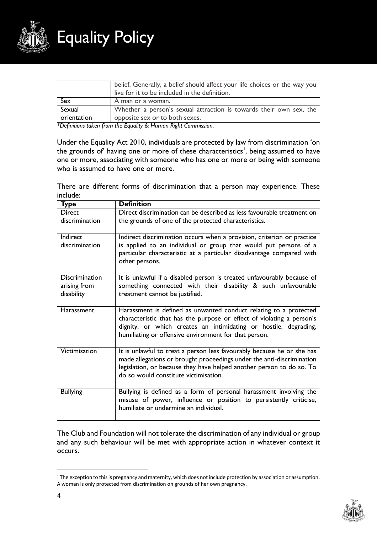

|             | belief. Generally, a belief should affect your life choices or the way you<br>live for it to be included in the definition. |
|-------------|-----------------------------------------------------------------------------------------------------------------------------|
| Sex         | A man or a woman.                                                                                                           |
| Sexual      | Whether a person's sexual attraction is towards their own sex, the                                                          |
| orientation | opposite sex or to both sexes.                                                                                              |

*\*Definitions taken from the Equality & Human Right Commission.*

Under the Equality Act 2010, individuals are protected by law from discrimination 'on the grounds of' having one or more of these characteristics', being assumed to have one or more, associating with someone who has one or more or being with someone who is assumed to have one or more.

There are different forms of discrimination that a person may experience. These include:

| <b>Type</b>                                         | <b>Definition</b>                                                                                                                                                                                                                                                       |
|-----------------------------------------------------|-------------------------------------------------------------------------------------------------------------------------------------------------------------------------------------------------------------------------------------------------------------------------|
| <b>Direct</b>                                       | Direct discrimination can be described as less favourable treatment on                                                                                                                                                                                                  |
| discrimination                                      | the grounds of one of the protected characteristics.                                                                                                                                                                                                                    |
| Indirect<br>discrimination                          | Indirect discrimination occurs when a provision, criterion or practice<br>is applied to an individual or group that would put persons of a<br>particular characteristic at a particular disadvantage compared with<br>other persons.                                    |
| <b>Discrimination</b><br>arising from<br>disability | It is unlawful if a disabled person is treated unfavourably because of<br>something connected with their disability & such unfavourable<br>treatment cannot be justified.                                                                                               |
| <b>Harassment</b>                                   | Harassment is defined as unwanted conduct relating to a protected<br>characteristic that has the purpose or effect of violating a person's<br>dignity, or which creates an intimidating or hostile, degrading,<br>humiliating or offensive environment for that person. |
| Victimisation                                       | It is unlawful to treat a person less favourably because he or she has<br>made allegations or brought proceedings under the anti-discrimination<br>legislation, or because they have helped another person to do so. To<br>do so would constitute victimisation.        |
| <b>Bullying</b>                                     | Bullying is defined as a form of personal harassment involving the<br>misuse of power, influence or position to persistently criticise,<br>humiliate or undermine an individual.                                                                                        |

The Club and Foundation will not tolerate the discrimination of any individual or group and any such behaviour will be met with appropriate action in whatever context it occurs.

<sup>1</sup> The exception to this is pregnancy and maternity, which does not include protection by association or assumption. A woman is only protected from discrimination on grounds of her own pregnancy.



 $\overline{a}$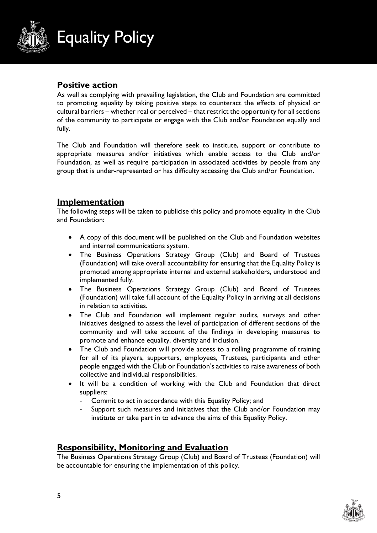

#### **Positive action**

As well as complying with prevailing legislation, the Club and Foundation are committed to promoting equality by taking positive steps to counteract the effects of physical or cultural barriers – whether real or perceived – that restrict the opportunity for all sections of the community to participate or engage with the Club and/or Foundation equally and fully.

The Club and Foundation will therefore seek to institute, support or contribute to appropriate measures and/or initiatives which enable access to the Club and/or Foundation, as well as require participation in associated activities by people from any group that is under-represented or has difficulty accessing the Club and/or Foundation.

#### **Implementation**

The following steps will be taken to publicise this policy and promote equality in the Club and Foundation:

- A copy of this document will be published on the Club and Foundation websites and internal communications system.
- The Business Operations Strategy Group (Club) and Board of Trustees (Foundation) will take overall accountability for ensuring that the Equality Policy is promoted among appropriate internal and external stakeholders, understood and implemented fully.
- The Business Operations Strategy Group (Club) and Board of Trustees (Foundation) will take full account of the Equality Policy in arriving at all decisions in relation to activities.
- The Club and Foundation will implement regular audits, surveys and other initiatives designed to assess the level of participation of different sections of the community and will take account of the findings in developing measures to promote and enhance equality, diversity and inclusion.
- The Club and Foundation will provide access to a rolling programme of training for all of its players, supporters, employees, Trustees, participants and other people engaged with the Club or Foundation's activities to raise awareness of both collective and individual responsibilities.
- It will be a condition of working with the Club and Foundation that direct suppliers:
	- Commit to act in accordance with this Equality Policy; and
	- Support such measures and initiatives that the Club and/or Foundation may institute or take part in to advance the aims of this Equality Policy.

#### **Responsibility, Monitoring and Evaluation**

The Business Operations Strategy Group (Club) and Board of Trustees (Foundation) will be accountable for ensuring the implementation of this policy.

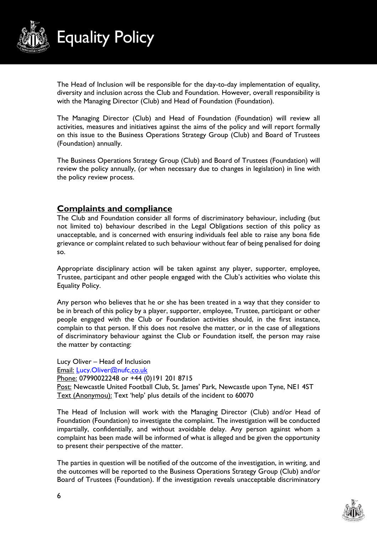

The Head of Inclusion will be responsible for the day-to-day implementation of equality, diversity and inclusion across the Club and Foundation. However, overall responsibility is with the Managing Director (Club) and Head of Foundation (Foundation).

The Managing Director (Club) and Head of Foundation (Foundation) will review all activities, measures and initiatives against the aims of the policy and will report formally on this issue to the Business Operations Strategy Group (Club) and Board of Trustees (Foundation) annually.

The Business Operations Strategy Group (Club) and Board of Trustees (Foundation) will review the policy annually, (or when necessary due to changes in legislation) in line with the policy review process.

#### **Complaints and compliance**

The Club and Foundation consider all forms of discriminatory behaviour, including (but not limited to) behaviour described in the Legal Obligations section of this policy as unacceptable, and is concerned with ensuring individuals feel able to raise any bona fide grievance or complaint related to such behaviour without fear of being penalised for doing so.

Appropriate disciplinary action will be taken against any player, supporter, employee, Trustee, participant and other people engaged with the Club's activities who violate this Equality Policy.

Any person who believes that he or she has been treated in a way that they consider to be in breach of this policy by a player, supporter, employee, Trustee, participant or other people engaged with the Club or Foundation activities should, in the first instance, complain to that person. If this does not resolve the matter, or in the case of allegations of discriminatory behaviour against the Club or Foundation itself, the person may raise the matter by contacting:

Lucy Oliver – Head of Inclusion Email: [Lucy.Oliver@nufc.co.uk](mailto:Lucy.Oliver@nufc.co.uk) Phone: 07990022248 or +44 (0)191 201 8715 Post: Newcastle United Football Club, St. James' Park, Newcastle upon Tyne, NE1 4ST Text (Anonymou): Text 'help' plus details of the incident to 60070

The Head of Inclusion will work with the Managing Director (Club) and/or Head of Foundation (Foundation) to investigate the complaint. The investigation will be conducted impartially, confidentially, and without avoidable delay. Any person against whom a complaint has been made will be informed of what is alleged and be given the opportunity to present their perspective of the matter.

The parties in question will be notified of the outcome of the investigation, in writing, and the outcomes will be reported to the Business Operations Strategy Group (Club) and/or Board of Trustees (Foundation). If the investigation reveals unacceptable discriminatory